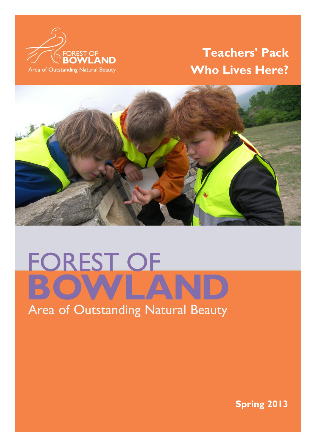

# **Teachers' Pack Who Lives Here?**



# **FOREST OF**

 $\mathbb{F}_q$  is a strong state of  $\mathbb{F}_q$  of  $\mathbb{F}_q$  . The strong state of  $\mathbb{F}_q$  is a strong state of  $\mathbb{F}_q$ 

**Spring 2013**

ELETE THIS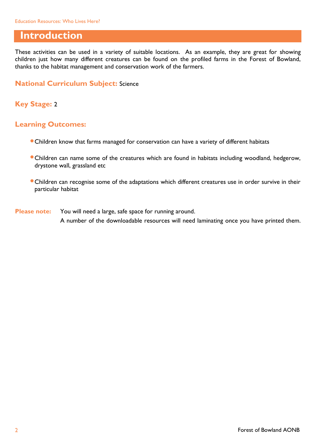### **Introduction**

These activities can be used in a variety of suitable locations. As an example, they are great for showing children just how many different creatures can be found on the profiled farms in the Forest of Bowland, thanks to the habitat management and conservation work of the farmers.

#### **National Curriculum Subject:** Science

#### **Key Stage:** 2

#### **Learning Outcomes:**

- Children know that farms managed for conservation can have a variety of different habitats
- Children can name some of the creatures which are found in habitats including woodland, hedgerow, drystone wall, grassland etc
- Children can recognise some of the adaptations which different creatures use in order survive in their particular habitat
- **Please note:** You will need a large, safe space for running around. A number of the downloadable resources will need laminating once you have printed them.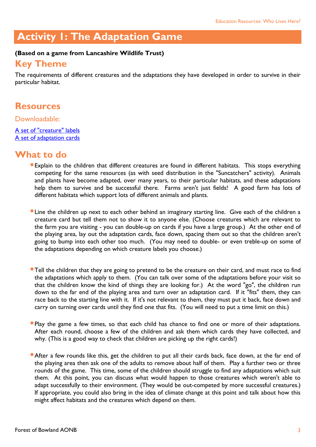# **Activity 1: The Adaptation Game**

#### **(Based on a game from Lancashire Wildlife Trust)**

#### **Key Theme**

The requirements of different creatures and the adaptations they have developed in order to survive in their particular habitat.

#### **Resources**

Downloadable:

[A set of "creature" labels](http://www.forestofbowland.com/files/uploads/education/creaturelabels_adaptation.doc) [A set of adaptation cards](http://www.forestofbowland.com/files/uploads/education/adaptation_cards.doc)

## **What to do**

- Explain to the children that different creatures are found in different habitats. This stops everything competing for the same resources (as with seed distribution in the "Suncatchers" activity). Animals and plants have become adapted, over many years, to their particular habitats, and these adaptations help them to survive and be successful there. Farms aren't just fields! A good farm has lots of different habitats which support lots of different animals and plants.
- Line the children up next to each other behind an imaginary starting line. Give each of the children a creature card but tell them not to show it to anyone else. (Choose creatures which are relevant to the farm you are visiting - you can double-up on cards if you have a large group.) At the other end of the playing area, lay out the adaptation cards, face down, spacing them out so that the children aren't going to bump into each other too much. (You may need to double- or even treble-up on some of the adaptations depending on which creature labels you choose.)
- **Tell the children that they are going to pretend to be the creature on their card, and must race to find** the adaptations which apply to them. (You can talk over some of the adaptations before your visit so that the children know the kind of things they are looking for.) At the word "go", the children run down to the far end of the playing area and turn over an adaptation card. If it "fits" them, they can race back to the starting line with it. If it's not relevant to them, they must put it back, face down and carry on turning over cards until they find one that fits. (You will need to put a time limit on this.)
- Play the game a few times, so that each child has chance to find one or more of their adaptations. After each round, choose a few of the children and ask them which cards they have collected, and why. (This is a good way to check that children are picking up the right cards!)
- **After a few rounds like this, get the children to put all their cards back, face down, at the far end of** the playing area then ask one of the adults to remove about half of them. Play a further two or three rounds of the game. This time, some of the children should struggle to find any adaptations which suit them. At this point, you can discuss what would happen to those creatures which weren't able to adapt successfully to their environment. (They would be out-competed by more successful creatures.) If appropriate, you could also bring in the idea of climate change at this point and talk about how this might affect habitats and the creatures which depend on them.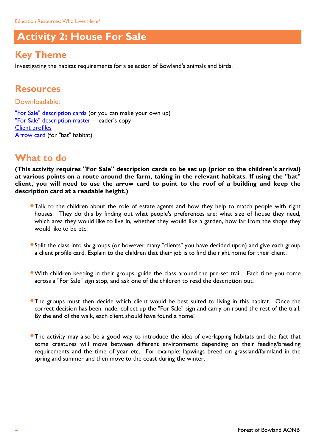# **Activity 2: House For Sale**

# **Key Theme**

Investigating the habitat requirements for a selection of Bowland's animals and birds.

# **Resources**

Downloadable: ["For Sale" description cards](http://www.forestofbowland.com/files/uploads/education/houseforsale_descriptioncards2.pdf) (or you can make your own up) ["For Sale" description master](http://www.forestofbowland.com/files/uploads/education/houseforsale_descriptioncardsmaster.pdf) - leader's copy [Client profiles](http://www.forestofbowland.com/files/uploads/education/houseforsale_clientprofiles.doc) [Arrow card](http://www.forestofbowland.com/files/uploads/education/arrow_card.doc) (for "bat" habitat)

# **What to do**

**(This activity requires "For Sale" description cards to be set up (prior to the children's arrival) at various points on a route around the farm, taking in the relevant habitats. If using the "bat" client, you will need to use the arrow card to point to the roof of a building and keep the description card at a readable height.)**

- **Talk to the children about the role of estate agents and how they help to match people with right** houses. They do this by finding out what people's preferences are: what size of house they need, which area they would like to live in, whether they would like a garden, how far from the shops they would like to be etc.
- Split the class into six groups (or however many "clients" you have decided upon) and give each group a client profile card. Explain to the children that their job is to find the right home for their client.
- With children keeping in their groups, guide the class around the pre-set trail. Each time you come across a "For Sale" sign stop, and ask one of the children to read the description out.
- **The groups must then decide which client would be best suited to living in this habitat. Once the** correct decision has been made, collect up the "For Sale" sign and carry on round the rest of the trail. By the end of the walk, each client should have found a home!
- The activity may also be a good way to introduce the idea of overlapping habitats and the fact that some creatures will move between different environments depending on their feeding/breeding requirements and the time of year etc. For example: lapwings breed on grassland/farmland in the spring and summer and then move to the coast during the winter.